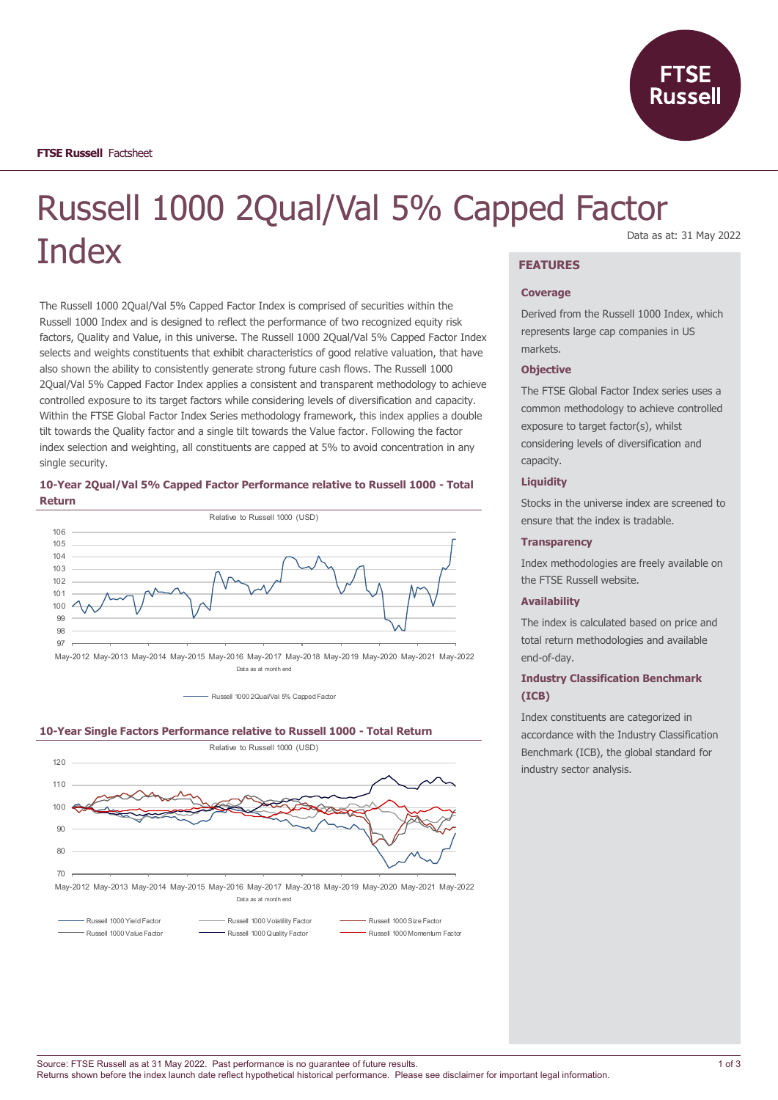

# Russell 1000 2Qual/Val 5% Capped Factor **Index**

The Russell 1000 2Qual/Val 5% Capped Factor Index is comprised of securities within the Russell 1000 Index and is designed to reflect the performance of two recognized equity risk factors, Quality and Value, in this universe. The Russell 1000 2Qual/Val 5% Capped Factor Index selects and weights constituents that exhibit characteristics of good relative valuation, that have also shown the ability to consistently generate strong future cash flows. The Russell 1000 2Qual/Val 5% Capped Factor Index applies a consistent and transparent methodology to achieve controlled exposure to its target factors while considering levels of diversification and capacity. Within the FTSE Global Factor Index Series methodology framework, this index applies a double tilt towards the Quality factor and a single tilt towards the Value factor. Following the factor index selection and weighting, all constituents are capped at 5% to avoid concentration in any single security.

## **10-Year 2Qual/Val 5% Capped Factor Performance relative to Russell 1000 - Total Return**



May-2012 May-2013 May-2014 May-2015 May-2016 May-2017 May-2018 May-2019 May-2020 May-2021 May-2022 Data as at month end

- Russell 1000 2Qual/Val 5% Camed Factor





May-2012 May-2013 May-2014 May-2015 May-2016 May-2017 May-2018 May-2019 May-2020 May-2021 May-2022 Data as at month end

Russell 1000 Yield Factor **Russell 1000 Volatility Factor** Russell 1000 Size Factor

Russell 1000 Value Factor Russell 1000 Quality Factor Russell 1000 Momentum Factor

## Data as at: 31 May 2022

# **FEATURES**

## **Coverage**

Derived from the Russell 1000 Index, which represents large cap companies in US markets.

## **Objective**

The FTSE Global Factor Index series uses a common methodology to achieve controlled exposure to target factor(s), whilst considering levels of diversification and capacity.

## **Liquidity**

Stocks in the universe index are screened to ensure that the index is tradable.

#### **Transparency**

Index methodologies are freely available on the FTSE Russell website.

## **Availability**

The index is calculated based on price and total return methodologies and available end-of-day.

# **Industry Classification Benchmark (ICB)**

Index constituents are categorized in accordance with the Industry Classification Benchmark (ICB), the global standard for industry sector analysis.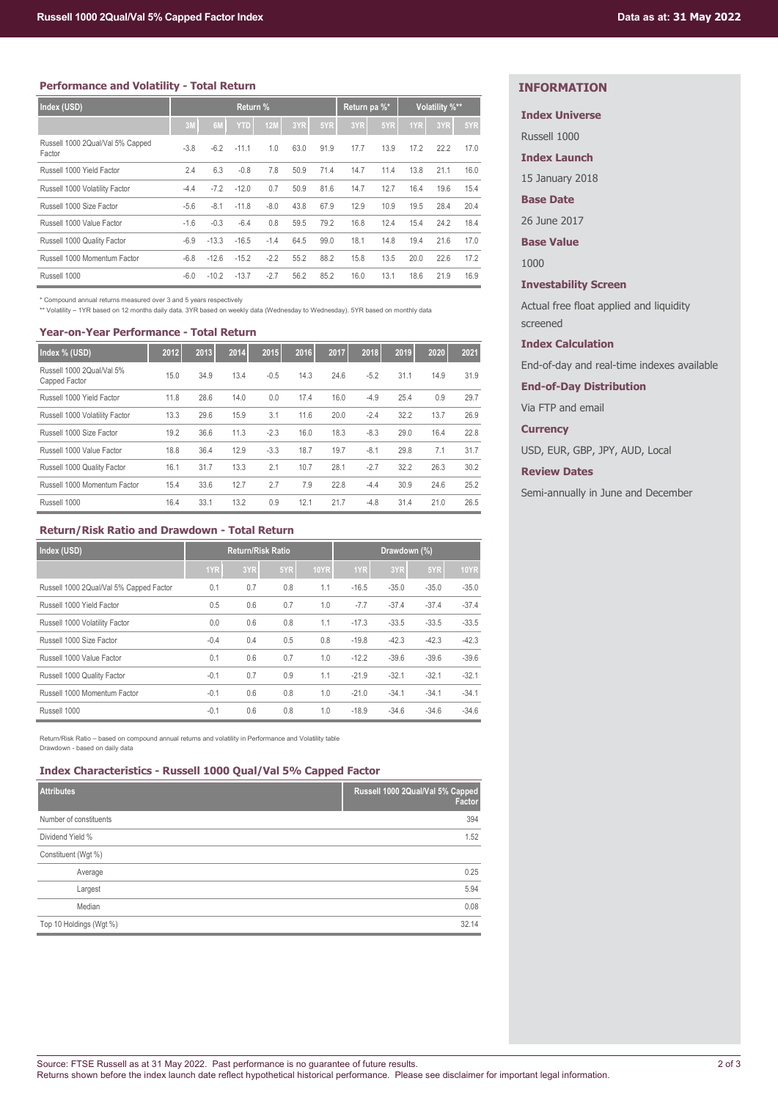## **Performance and Volatility - Total Return**

| Index (USD)                                | Return % |         |            |        |      | Return pa %* |      | Volatility %** |      |      |      |
|--------------------------------------------|----------|---------|------------|--------|------|--------------|------|----------------|------|------|------|
|                                            | 3M       | 6M      | <b>YTD</b> | 12M    | 3YR  | 5YR          | 3YR  | 5YR            | 1YR  | 3YR  | 5YR  |
| Russell 1000 2Qual/Val 5% Capped<br>Factor | $-3.8$   | $-6.2$  | $-11.1$    | 1.0    | 63.0 | 91.9         | 17.7 | 13.9           | 17.2 | 22.2 | 17.0 |
| Russell 1000 Yield Factor                  | 2.4      | 6.3     | $-0.8$     | 7.8    | 50.9 | 71.4         | 14.7 | 11.4           | 13.8 | 21.1 | 16.0 |
| Russell 1000 Volatility Factor             | $-4.4$   | $-7.2$  | $-12.0$    | 0.7    | 50.9 | 81.6         | 14.7 | 12.7           | 16.4 | 19.6 | 15.4 |
| Russell 1000 Size Factor                   | $-5.6$   | $-8.1$  | $-11.8$    | $-8.0$ | 43.8 | 67.9         | 12.9 | 10.9           | 19.5 | 28.4 | 20.4 |
| Russell 1000 Value Factor                  | $-1.6$   | $-0.3$  | $-6.4$     | 0.8    | 59.5 | 79.2         | 16.8 | 12.4           | 15.4 | 24.2 | 18.4 |
| Russell 1000 Quality Factor                | $-6.9$   | $-13.3$ | $-16.5$    | $-1.4$ | 64.5 | 99.0         | 18.1 | 14.8           | 19.4 | 21.6 | 17.0 |
| Russell 1000 Momentum Factor               | $-6.8$   | $-12.6$ | $-15.2$    | $-2.2$ | 55.2 | 88.2         | 15.8 | 13.5           | 20.0 | 22.6 | 17.2 |
| Russell 1000                               | $-6.0$   | $-10.2$ | $-13.7$    | $-2.7$ | 56.2 | 85.2         | 16.0 | 13.1           | 18.6 | 21.9 | 16.9 |

\* Compound annual returns measured over 3 and 5 years respectively

\*\* Volatility – 1YR based on 12 months daily data. 3YR based on weekly data (Wednesday to Wednesday). 5YR based on monthly data

## **Year-on-Year Performance - Total Return**

| Index % (USD)                              | 2012 | 2013 | 2014 | 2015   | 2016 | 2017 | 2018   | 2019 | 2020 | 2021 |
|--------------------------------------------|------|------|------|--------|------|------|--------|------|------|------|
| Russell 1000 2Qual/Val 5%<br>Capped Factor | 15.0 | 34.9 | 13.4 | $-0.5$ | 14.3 | 24.6 | $-5.2$ | 31.1 | 14.9 | 31.9 |
| Russell 1000 Yield Factor                  | 11.8 | 28.6 | 14.0 | 0.0    | 17.4 | 16.0 | $-4.9$ | 25.4 | 0.9  | 29.7 |
| Russell 1000 Volatility Factor             | 13.3 | 29.6 | 15.9 | 3.1    | 11.6 | 20.0 | $-2.4$ | 32.2 | 13.7 | 26.9 |
| Russell 1000 Size Factor                   | 19.2 | 36.6 | 11.3 | $-2.3$ | 16.0 | 18.3 | $-8.3$ | 29.0 | 16.4 | 22.8 |
| Russell 1000 Value Factor                  | 18.8 | 36.4 | 12.9 | $-3.3$ | 18.7 | 19.7 | $-8.1$ | 29.8 | 7.1  | 31.7 |
| Russell 1000 Quality Factor                | 16.1 | 31.7 | 13.3 | 2.1    | 10.7 | 28.1 | $-2.7$ | 32.2 | 26.3 | 30.2 |
| Russell 1000 Momentum Factor               | 15.4 | 33.6 | 12.7 | 2.7    | 7.9  | 22.8 | $-4.4$ | 30.9 | 24.6 | 25.2 |
| Russell 1000                               | 16.4 | 33.1 | 13.2 | 0.9    | 12.1 | 21.7 | $-4.8$ | 31.4 | 21.0 | 26.5 |

## **Return/Risk Ratio and Drawdown - Total Return**

| Index (USD)                             | <b>Return/Risk Ratio</b> |     |     | Drawdown (%) |         |         |         |             |
|-----------------------------------------|--------------------------|-----|-----|--------------|---------|---------|---------|-------------|
|                                         | 1YR                      | 3YR | 5YR | <b>10YR</b>  | 1YR     | 3YR     | 5YR     | <b>10YR</b> |
| Russell 1000 2Qual/Val 5% Capped Factor | 0.1                      | 0.7 | 0.8 | 1.1          | $-16.5$ | $-35.0$ | $-35.0$ | $-35.0$     |
| Russell 1000 Yield Factor               | 0.5                      | 0.6 | 0.7 | 1.0          | $-7.7$  | $-37.4$ | $-37.4$ | $-37.4$     |
| Russell 1000 Volatility Factor          | 0.0                      | 0.6 | 0.8 | 1.1          | $-17.3$ | $-33.5$ | $-33.5$ | $-33.5$     |
| Russell 1000 Size Factor                | $-0.4$                   | 0.4 | 0.5 | 0.8          | $-19.8$ | $-42.3$ | $-42.3$ | $-42.3$     |
| Russell 1000 Value Factor               | 0.1                      | 0.6 | 0.7 | 1.0          | $-12.2$ | $-39.6$ | $-39.6$ | $-39.6$     |
| Russell 1000 Quality Factor             | $-0.1$                   | 0.7 | 0.9 | 1.1          | $-21.9$ | $-32.1$ | $-32.1$ | $-32.1$     |
| Russell 1000 Momentum Factor            | $-0.1$                   | 0.6 | 0.8 | 1.0          | $-21.0$ | $-34.1$ | $-34.1$ | $-34.1$     |
| Russell 1000                            | $-0.1$                   | 0.6 | 0.8 | 1.0          | $-18.9$ | $-34.6$ | $-34.6$ | $-34.6$     |

Return/Risk Ratio – based on compound annual returns and volatility in Performance and Volatility table Drawdown - based on daily data

## **Index Characteristics - Russell 1000 Qual/Val 5% Capped Factor**

| <b>Attributes</b>       | Russell 1000 2Qual/Val 5% Capped<br>Factor |
|-------------------------|--------------------------------------------|
| Number of constituents  | 394                                        |
| Dividend Yield %        | 1.52                                       |
| Constituent (Wgt %)     |                                            |
| Average                 | 0.25                                       |
| Largest                 | 5.94                                       |
| Median                  | 0.08                                       |
| Top 10 Holdings (Wgt %) | 32.14                                      |

# **INFORMATION**

## **Index Universe**

Russell 1000

## **Index Launch**

15 January 2018

# **Base Date**

26 June 2017

**Base Value**

1000

## **Investability Screen**

Actual free float applied and liquidity screened

## **Index Calculation**

End-of-day and real-time indexes available

**End-of-Day Distribution**

Via FTP and email

**Currency**

USD, EUR, GBP, JPY, AUD, Local

**Review Dates**

Semi-annually in June and December